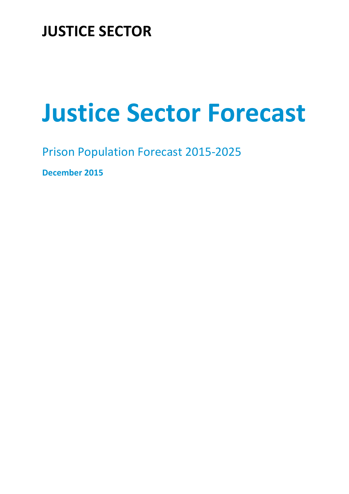# **JUSTICE SECTOR**

# **Justice Sector Forecast**

Prison Population Forecast 2015-2025

**December 2015**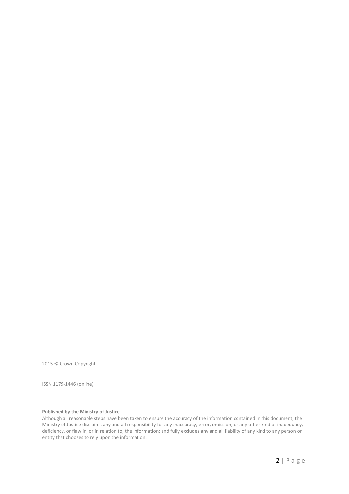2015 © Crown Copyright

ISSN 1179-1446 (online)

#### **Published by the Ministry of Justice**

Although all reasonable steps have been taken to ensure the accuracy of the information contained in this document, the Ministry of Justice disclaims any and all responsibility for any inaccuracy, error, omission, or any other kind of inadequacy, deficiency, or flaw in, or in relation to, the information; and fully excludes any and all liability of any kind to any person or entity that chooses to rely upon the information.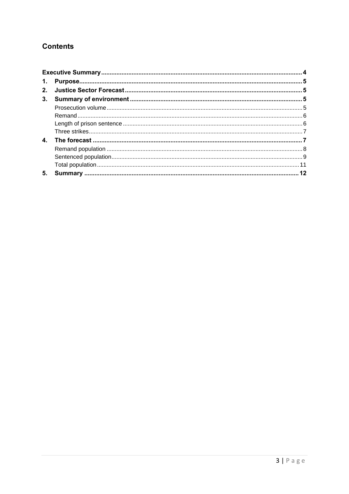# **Contents**

| $\mathbf{4}$ |  |  |  |  |
|--------------|--|--|--|--|
|              |  |  |  |  |
|              |  |  |  |  |
|              |  |  |  |  |
| 5.           |  |  |  |  |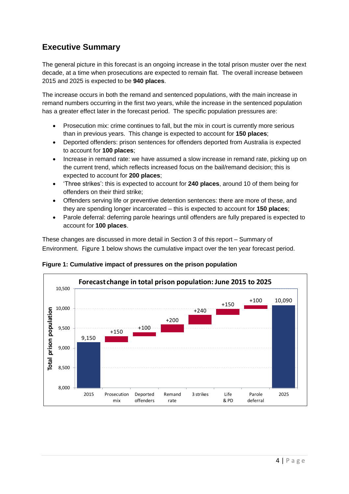# <span id="page-3-0"></span>**Executive Summary**

The general picture in this forecast is an ongoing increase in the total prison muster over the next decade, at a time when prosecutions are expected to remain flat. The overall increase between 2015 and 2025 is expected to be **940 places**.

The increase occurs in both the remand and sentenced populations, with the main increase in remand numbers occurring in the first two years, while the increase in the sentenced population has a greater effect later in the forecast period. The specific population pressures are:

- Prosecution mix: crime continues to fall, but the mix in court is currently more serious than in previous years. This change is expected to account for **150 places**;
- Deported offenders: prison sentences for offenders deported from Australia is expected to account for **100 places**;
- Increase in remand rate: we have assumed a slow increase in remand rate, picking up on the current trend, which reflects increased focus on the bail/remand decision; this is expected to account for **200 places**;
- 'Three strikes': this is expected to account for **240 places**, around 10 of them being for offenders on their third strike;
- Offenders serving life or preventive detention sentences: there are more of these, and they are spending longer incarcerated – this is expected to account for **150 places**;
- Parole deferral: deferring parole hearings until offenders are fully prepared is expected to account for **100 places**.

These changes are discussed in more detail in Section 3 of this report – Summary of Environment. [Figure 1](#page-3-1) below shows the cumulative impact over the ten year forecast period.

<span id="page-3-1"></span>**Figure 1: Cumulative impact of pressures on the prison population**

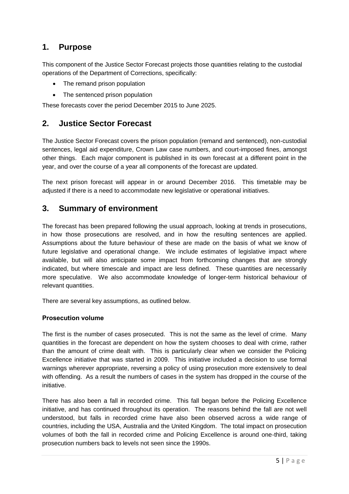# <span id="page-4-0"></span>**1. Purpose**

This component of the Justice Sector Forecast projects those quantities relating to the custodial operations of the Department of Corrections, specifically:

- The remand prison population
- The sentenced prison population

These forecasts cover the period December 2015 to June 2025.

## <span id="page-4-1"></span>**2. Justice Sector Forecast**

The Justice Sector Forecast covers the prison population (remand and sentenced), non-custodial sentences, legal aid expenditure, Crown Law case numbers, and court-imposed fines, amongst other things. Each major component is published in its own forecast at a different point in the year, and over the course of a year all components of the forecast are updated.

The next prison forecast will appear in or around December 2016. This timetable may be adjusted if there is a need to accommodate new legislative or operational initiatives.

### <span id="page-4-2"></span>**3. Summary of environment**

The forecast has been prepared following the usual approach, looking at trends in prosecutions, in how those prosecutions are resolved, and in how the resulting sentences are applied. Assumptions about the future behaviour of these are made on the basis of what we know of future legislative and operational change. We include estimates of legislative impact where available, but will also anticipate some impact from forthcoming changes that are strongly indicated, but where timescale and impact are less defined. These quantities are necessarily more speculative. We also accommodate knowledge of longer-term historical behaviour of relevant quantities.

There are several key assumptions, as outlined below.

#### <span id="page-4-3"></span>**Prosecution volume**

The first is the number of cases prosecuted. This is not the same as the level of crime. Many quantities in the forecast are dependent on how the system chooses to deal with crime, rather than the amount of crime dealt with. This is particularly clear when we consider the Policing Excellence initiative that was started in 2009. This initiative included a decision to use formal warnings wherever appropriate, reversing a policy of using prosecution more extensively to deal with offending. As a result the numbers of cases in the system has dropped in the course of the initiative.

There has also been a fall in recorded crime. This fall began before the Policing Excellence initiative, and has continued throughout its operation. The reasons behind the fall are not well understood, but falls in recorded crime have also been observed across a wide range of countries, including the USA, Australia and the United Kingdom. The total impact on prosecution volumes of both the fall in recorded crime and Policing Excellence is around one-third, taking prosecution numbers back to levels not seen since the 1990s.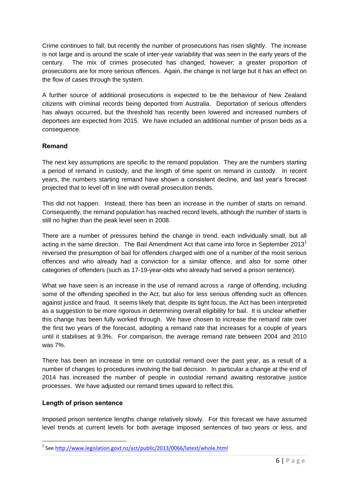Crime continues to fall, but recently the number of prosecutions has risen slightly. The increase is not large and is around the scale of inter-year variability that was seen in the early years of the century. The mix of crimes prosecuted has changed, however; a greater proportion of prosecutions are for more serious offences. Again, the change is not large but it has an effect on the flow of cases through the system.

A further source of additional prosecutions is expected to be the behaviour of New Zealand citizens with criminal records being deported from Australia. Deportation of serious offenders has always occurred, but the threshold has recently been lowered and increased numbers of deportees are expected from 2015. We have included an additional number of prison beds as a consequence.

#### <span id="page-5-0"></span>**Remand**

The next key assumptions are specific to the remand population. They are the numbers starting a period of remand in custody, and the length of time spent on remand in custody. In recent years, the numbers starting remand have shown a consistent decline, and last year's forecast projected that to level off in line with overall prosecution trends.

This did not happen. Instead, there has been an increase in the number of starts on remand. Consequently, the remand population has reached record levels, although the number of starts is still no higher than the peak level seen in 2008.

There are a number of pressures behind the change in trend, each individually small, but all acting in the same direction. The Bail Amendment Act that came into force in September 2013<sup>1</sup> reversed the presumption of bail for offenders charged with one of a number of the most serious offences and who already had a conviction for a similar offence, and also for some other categories of offenders (such as 17-19-year-olds who already had served a prison sentence).

What we have seen is an increase in the use of remand across a range of offending, including some of the offending specified in the Act, but also for less serious offending such as offences against justice and fraud. It seems likely that, despite its tight focus, the Act has been interpreted as a suggestion to be more rigorous in determining overall eligibility for bail. It is unclear whether this change has been fully worked through. We have chosen to increase the remand rate over the first two years of the forecast, adopting a remand rate that increases for a couple of years until it stabilises at 9.3%. For comparison, the average remand rate between 2004 and 2010 was 7%.

There has been an increase in time on custodial remand over the past year, as a result of a number of changes to procedures involving the bail decision. In particular a change at the end of 2014 has increased the number of people in custodial remand awaiting restorative justice processes. We have adjusted our remand times upward to reflect this.

#### <span id="page-5-1"></span>**Length of prison sentence**

1

Imposed prison sentence lengths change relatively slowly. For this forecast we have assumed level trends at current levels for both average imposed sentences of two years or less, and

<sup>&</sup>lt;sup>1</sup> See<http://www.legislation.govt.nz/act/public/2013/0066/latest/whole.html>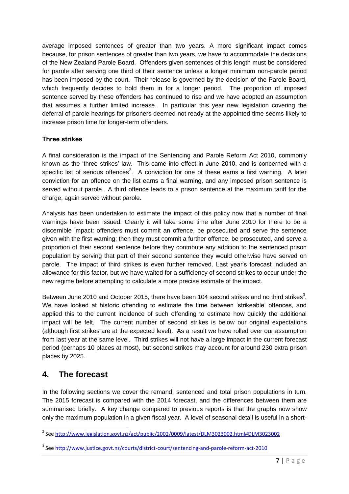average imposed sentences of greater than two years. A more significant impact comes because, for prison sentences of greater than two years, we have to accommodate the decisions of the New Zealand Parole Board. Offenders given sentences of this length must be considered for parole after serving one third of their sentence unless a longer minimum non-parole period has been imposed by the court. Their release is governed by the decision of the Parole Board, which frequently decides to hold them in for a longer period. The proportion of imposed sentence served by these offenders has continued to rise and we have adopted an assumption that assumes a further limited increase. In particular this year new legislation covering the deferral of parole hearings for prisoners deemed not ready at the appointed time seems likely to increase prison time for longer-term offenders.

#### <span id="page-6-0"></span>**Three strikes**

A final consideration is the impact of the Sentencing and Parole Reform Act 2010, commonly known as the 'three strikes' law. This came into effect in June 2010, and is concerned with a specific list of serious offences<sup>2</sup>. A conviction for one of these earns a first warning. A later conviction for an offence on the list earns a final warning, and any imposed prison sentence is served without parole. A third offence leads to a prison sentence at the maximum tariff for the charge, again served without parole.

Analysis has been undertaken to estimate the impact of this policy now that a number of final warnings have been issued. Clearly it will take some time after June 2010 for there to be a discernible impact: offenders must commit an offence, be prosecuted and serve the sentence given with the first warning; then they must commit a further offence, be prosecuted, and serve a proportion of their second sentence before they contribute any addition to the sentenced prison population by serving that part of their second sentence they would otherwise have served on parole. The impact of third strikes is even further removed. Last year's forecast included an allowance for this factor, but we have waited for a sufficiency of second strikes to occur under the new regime before attempting to calculate a more precise estimate of the impact.

Between June 2010 and October 2015, there have been 104 second strikes and no third strikes<sup>3</sup>. We have looked at historic offending to estimate the time between 'strikeable' offences, and applied this to the current incidence of such offending to estimate how quickly the additional impact will be felt. The current number of second strikes is below our original expectations (although first strikes are at the expected level). As a result we have rolled over our assumption from last year at the same level. Third strikes will not have a large impact in the current forecast period (perhaps 10 places at most), but second strikes may account for around 230 extra prison places by 2025.

# <span id="page-6-1"></span>**4. The forecast**

In the following sections we cover the remand, sentenced and total prison populations in turn. The 2015 forecast is compared with the 2014 forecast, and the differences between them are summarised briefly. A key change compared to previous reports is that the graphs now show only the maximum population in a given fiscal year. A level of seasonal detail is useful in a short-

 2 See<http://www.legislation.govt.nz/act/public/2002/0009/latest/DLM3023002.html#DLM3023002>

<sup>&</sup>lt;sup>3</sup> See<http://www.justice.govt.nz/courts/district-court/sentencing-and-parole-reform-act-2010>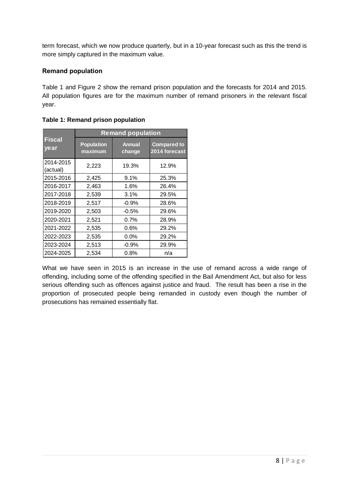term forecast, which we now produce quarterly, but in a 10-year forecast such as this the trend is more simply captured in the maximum value.

#### <span id="page-7-0"></span>**Remand population**

[Table 1](#page-7-1) and [Figure 2](#page-8-1) show the remand prison population and the forecasts for 2014 and 2015. All population figures are for the maximum number of remand prisoners in the relevant fiscal year.

|                        | <b>Remand population</b>     |                         |                                     |  |
|------------------------|------------------------------|-------------------------|-------------------------------------|--|
| <b>Fiscal</b><br>ye ar | <b>Population</b><br>maximum | <b>Annual</b><br>change | <b>Compared to</b><br>2014 forecast |  |
| 2014-2015<br>(actual)  | 2,223                        | 19.3%                   | 12.9%                               |  |
| 2015-2016              | 2,425                        | 9.1%                    | 25.3%                               |  |
| 2016-2017              | 2,463                        | 1.6%                    | 26.4%                               |  |
| 2017-2018              | 2,539                        | 3.1%                    | 29.5%                               |  |
| 2018-2019              | 2,517                        | $-0.9%$                 | 28.6%                               |  |
| 2019-2020              | 2,503                        | $-0.5%$                 | 29.6%                               |  |
| 2020-2021              | 2,521                        | 0.7%                    | 28.9%                               |  |
| 2021-2022              | 2,535                        | 0.6%                    | 29.2%                               |  |
| 2022-2023              | 2,535                        | 0.0%                    | 29.2%                               |  |
| 2023-2024              | 2,513                        | $-0.9%$                 | 29.9%                               |  |
| 2024-2025              | 2,534                        | 0.8%                    | n/a                                 |  |

#### <span id="page-7-1"></span>**Table 1: Remand prison population**

What we have seen in 2015 is an increase in the use of remand across a wide range of offending, including some of the offending specified in the Bail Amendment Act, but also for less serious offending such as offences against justice and fraud. The result has been a rise in the proportion of prosecuted people being remanded in custody even though the number of prosecutions has remained essentially flat.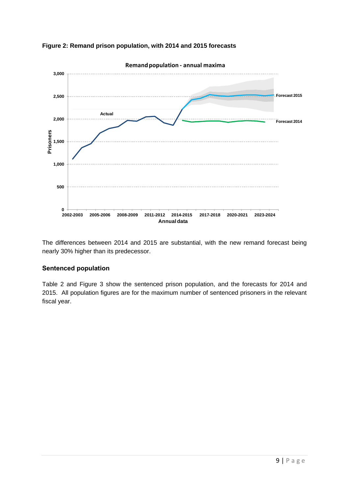<span id="page-8-1"></span>



The differences between 2014 and 2015 are substantial, with the new remand forecast being nearly 30% higher than its predecessor.

#### <span id="page-8-0"></span>**Sentenced population**

[Table 2](#page-9-0) and [Figure 3](#page-9-1) show the sentenced prison population, and the forecasts for 2014 and 2015. All population figures are for the maximum number of sentenced prisoners in the relevant fiscal year.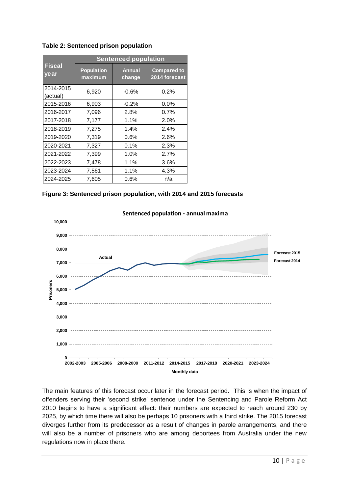|                       | <b>Sentenced population</b>  |                         |                                     |  |
|-----------------------|------------------------------|-------------------------|-------------------------------------|--|
| <b>Fiscal</b><br>year | <b>Population</b><br>maximum | <b>Annual</b><br>change | <b>Compared to</b><br>2014 forecast |  |
| 2014-2015<br>(actual) | 6,920                        | $-0.6%$                 | 0.2%                                |  |
| 2015-2016             | 6,903                        | $-0.2%$                 | $0.0\%$                             |  |
| 2016-2017             | 7,096                        | 2.8%                    | 0.7%                                |  |
| 2017-2018             | 7,177                        | 1.1%                    | 2.0%                                |  |
| 2018-2019             | 7,275                        | 1.4%                    | 2.4%                                |  |
| 2019-2020             | 7,319                        | $0.6\%$                 | 2.6%                                |  |
| 2020-2021             | 7,327                        | $0.1\%$                 | 2.3%                                |  |
| 2021-2022             | 7,399                        | 1.0%                    | $2.7\%$                             |  |
| 2022-2023             | 7,478                        | 1.1%                    | 3.6%                                |  |
| 2023-2024             | 7,561                        | 1.1%                    | 4.3%                                |  |
| 2024-2025             | 7,605                        | 0.6%                    | n/a                                 |  |

<span id="page-9-0"></span>**Table 2: Sentenced prison population**

<span id="page-9-1"></span>



#### **Sentenced population - annual maxima**

The main features of this forecast occur later in the forecast period. This is when the impact of offenders serving their 'second strike' sentence under the Sentencing and Parole Reform Act 2010 begins to have a significant effect: their numbers are expected to reach around 230 by 2025, by which time there will also be perhaps 10 prisoners with a third strike. The 2015 forecast diverges further from its predecessor as a result of changes in parole arrangements, and there will also be a number of prisoners who are among deportees from Australia under the new regulations now in place there.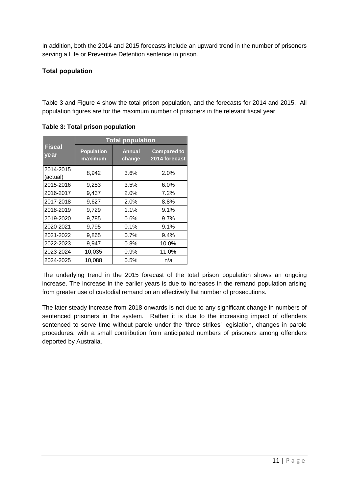In addition, both the 2014 and 2015 forecasts include an upward trend in the number of prisoners serving a Life or Preventive Detention sentence in prison.

#### <span id="page-10-0"></span>**Total population**

<span id="page-10-1"></span>[Table 3](#page-10-1) and [Figure 4](#page-11-1) show the total prison population, and the forecasts for 2014 and 2015. All population figures are for the maximum number of prisoners in the relevant fiscal year.

|                       | <b>Total population</b>      |                         |                                     |  |
|-----------------------|------------------------------|-------------------------|-------------------------------------|--|
| <b>Fiscal</b><br>year | <b>Population</b><br>maximum | <b>Annual</b><br>change | <b>Compared to</b><br>2014 forecast |  |
| 2014-2015<br>(actual) | 8,942                        | 3.6%                    | 2.0%                                |  |
| 2015-2016             | 9,253                        | 3.5%                    | 6.0%                                |  |
| 2016-2017             | 9,437                        | 2.0%                    | 7.2%                                |  |
| 2017-2018             | 9,627                        | 2.0%                    | 8.8%                                |  |
| 2018-2019             | 9,729                        | 1.1%                    | 9.1%                                |  |
| 2019-2020             | 9,785                        | 0.6%                    | $9.7\%$                             |  |
| 2020-2021             | 9,795                        | 0.1%                    | 9.1%                                |  |
| 2021-2022             | 9,865                        | $0.7\%$                 | 9.4%                                |  |
| 2022-2023             | 9,947                        | $0.8\%$                 | 10.0%                               |  |
| 2023-2024             | 10,035                       | 0.9%                    | 11.0%                               |  |
| 2024-2025             | 10,088                       | $0.5\%$                 | n/a                                 |  |

**Table 3: Total prison population**

The underlying trend in the 2015 forecast of the total prison population shows an ongoing increase. The increase in the earlier years is due to increases in the remand population arising from greater use of custodial remand on an effectively flat number of prosecutions.

The later steady increase from 2018 onwards is not due to any significant change in numbers of sentenced prisoners in the system. Rather it is due to the increasing impact of offenders sentenced to serve time without parole under the 'three strikes' legislation, changes in parole procedures, with a small contribution from anticipated numbers of prisoners among offenders deported by Australia.